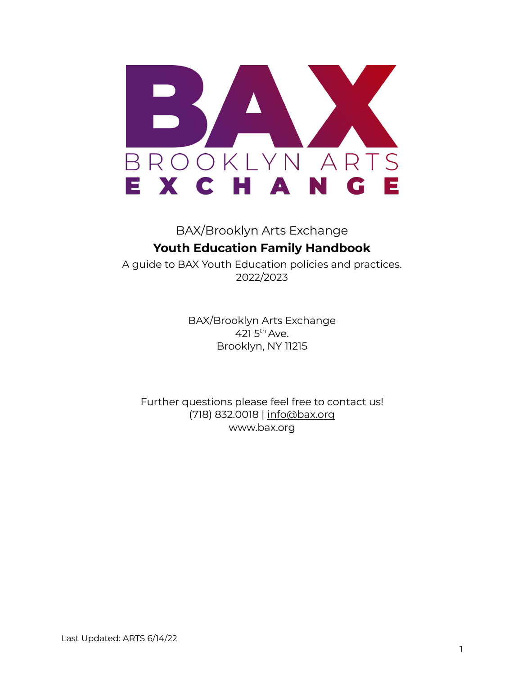

## BAX/Brooklyn Arts Exchange **Youth Education Family Handbook**

A guide to BAX Youth Education policies and practices. 2022/2023

> BAX/Brooklyn Arts Exchange 421 5<sup>th</sup> Ave. Brooklyn, NY 11215

Further questions please feel free to contact us! (718) 832.0018 | info@bax.org www.bax.org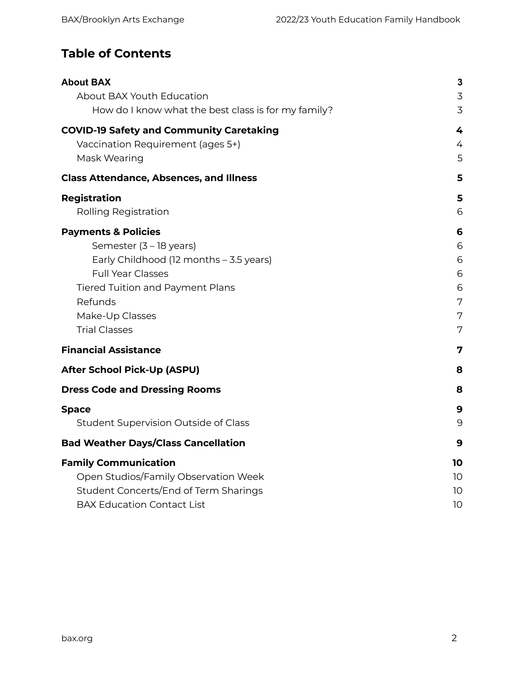### **Table of Contents**

| <b>About BAX</b>                                    | 3              |
|-----------------------------------------------------|----------------|
| About BAX Youth Education                           | 3              |
| How do I know what the best class is for my family? | $\overline{3}$ |
| <b>COVID-19 Safety and Community Caretaking</b>     | 4              |
| Vaccination Requirement (ages 5+)                   | 4              |
| Mask Wearing                                        | 5              |
| <b>Class Attendance, Absences, and Illness</b>      | 5              |
| <b>Registration</b>                                 | 5              |
| Rolling Registration                                | 6              |
| <b>Payments &amp; Policies</b>                      | 6              |
| Semester (3 - 18 years)                             | 6              |
| Early Childhood (12 months - 3.5 years)             | 6              |
| <b>Full Year Classes</b>                            | 6              |
| <b>Tiered Tuition and Payment Plans</b>             | 6              |
| Refunds                                             | 7              |
| Make-Up Classes                                     | 7              |
| <b>Trial Classes</b>                                | 7              |
| <b>Financial Assistance</b>                         | 7              |
| <b>After School Pick-Up (ASPU)</b>                  | 8              |
| <b>Dress Code and Dressing Rooms</b>                | 8              |
| <b>Space</b>                                        | 9              |
| <b>Student Supervision Outside of Class</b>         | 9              |
| <b>Bad Weather Days/Class Cancellation</b>          | 9              |
| <b>Family Communication</b>                         | 10             |
| Open Studios/Family Observation Week                | 10             |
| Student Concerts/End of Term Sharings               | 10             |
| <b>BAX Education Contact List</b>                   | 10             |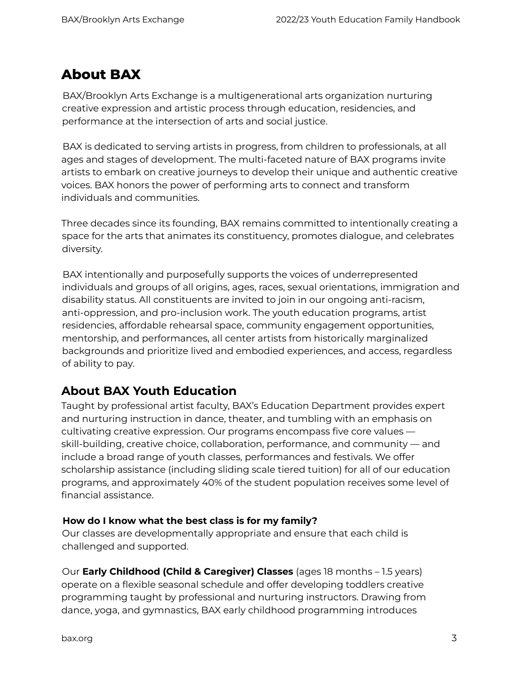## <span id="page-2-0"></span>**About BAX**

BAX/Brooklyn Arts Exchange is a multigenerational arts organization nurturing creative expression and artistic process through education, residencies, and performance at the intersection of arts and social justice.

BAX is dedicated to serving artists in progress, from children to professionals, at all ages and stages of development. The multi-faceted nature of BAX programs invite artists to embark on creative journeys to develop their unique and authentic creative voices. BAX honors the power of performing arts to connect and transform individuals and communities.

Three decades since its founding, BAX remains committed to intentionally creating a space for the arts that animates its constituency, promotes dialogue, and celebrates diversity.

BAX intentionally and purposefully supports the voices of underrepresented individuals and groups of all origins, ages, races, sexual orientations, immigration and disability status. All constituents are invited to join in our ongoing anti-racism, anti-oppression, and pro-inclusion work. The youth education programs, artist residencies, affordable rehearsal space, community engagement opportunities, mentorship, and performances, all center artists from historically marginalized backgrounds and prioritize lived and embodied experiences, and access, regardless of ability to pay.

#### <span id="page-2-1"></span>**About BAX Youth Education**

Taught by professional artist faculty, BAX's Education Department provides expert and nurturing instruction in dance, theater, and tumbling with an emphasis on cultivating creative expression. Our programs encompass five core values skill-building, creative choice, collaboration, performance, and community — and include a broad range of youth classes, performances and festivals. We offer scholarship assistance (including sliding scale tiered tuition) for all of our education programs, and approximately 40% of the student population receives some level of financial assistance.

#### <span id="page-2-2"></span>**How do I know what the best class is for my family?**

Our classes are developmentally appropriate and ensure that each child is challenged and supported.

Our **Early Childhood (Child & Caregiver) Classes** (ages 18 months – 1.5 years) operate on a flexible seasonal schedule and offer developing toddlers creative programming taught by professional and nurturing instructors. Drawing from dance, yoga, and gymnastics, BAX early childhood programming introduces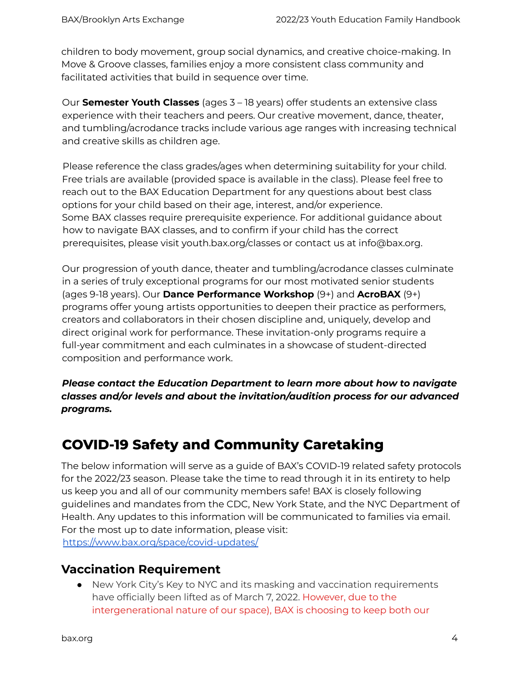children to body movement, group social dynamics, and creative choice-making. In Move & Groove classes, families enjoy a more consistent class community and facilitated activities that build in sequence over time.

Our **Semester Youth Classes** (ages 3 – 18 years) offer students an extensive class experience with their teachers and peers. Our creative movement, dance, theater, and tumbling/acrodance tracks include various age ranges with increasing technical and creative skills as children age.

Please reference the class grades/ages when determining suitability for your child. Free trials are available (provided space is available in the class). Please feel free to reach out to the BAX Education Department for any questions about best class options for your child based on their age, interest, and/or experience. Some BAX classes require prerequisite experience. For additional guidance about how to navigate BAX classes, and to confirm if your child has the correct prerequisites, please visit youth.bax.org/classes or contact us at info@bax.org.

Our progression of youth dance, theater and tumbling/acrodance classes culminate in a series of truly exceptional programs for our most motivated senior students (ages 9-18 years). Our **Dance Performance Workshop** (9+) and **AcroBAX** (9+) programs offer young artists opportunities to deepen their practice as performers, creators and collaborators in their chosen discipline and, uniquely, develop and direct original work for performance. These invitation-only programs require a full-year commitment and each culminates in a showcase of student-directed composition and performance work.

*Please contact the Education Department to learn more about how to navigate classes and/or levels and about the invitation/audition process for our advanced programs.*

# <span id="page-3-0"></span>**COVID-19 Safety and Community Caretaking**

The below information will serve as a guide of BAX's COVID-19 related safety protocols for the 2022/23 season. Please take the time to read through it in its entirety to help us keep you and all of our community members safe! BAX is closely following guidelines and mandates from the CDC, New York State, and the NYC Department of Health. Any updates to this information will be communicated to families via email. For the most up to date information, please visit: https://www.bax.org/space/covid-updates/

### <span id="page-3-1"></span>**Vaccination Requirement**

● New York City's Key to NYC and its masking and vaccination requirements have officially been lifted as of March 7, 2022. However, due to the intergenerational nature of our space), BAX is choosing to keep both our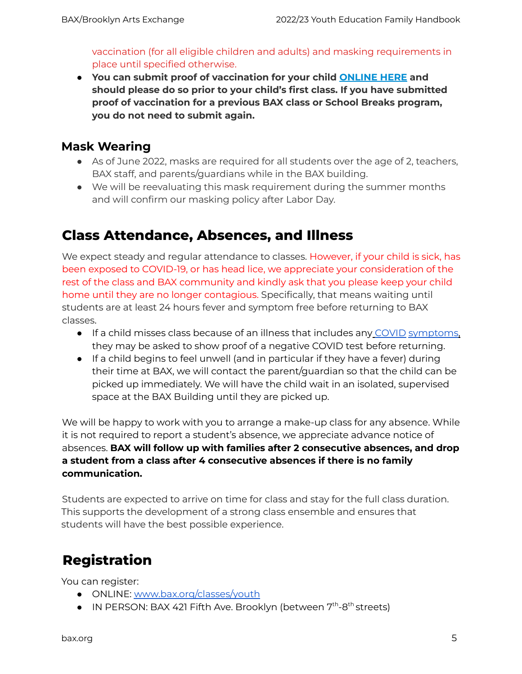vaccination (for all eligible children and adults) and masking requirements in place until specified otherwise.

**● You can submit proof of vaccination for your child [ONLINE](https://docs.google.com/forms/d/e/1FAIpQLSfnPFOyQHAcvB87w-x2-qg_Zm-flGzMopSFo84yL0pmRxNAdQ/viewform?pli=1) HERE and should please do so prior to your child's first class. If you have submitted proof of vaccination for a previous BAX class or School Breaks program, you do not need to submit again.**

#### <span id="page-4-0"></span>**Mask Wearing**

- As of June 2022, masks are required for all students over the age of 2, teachers, BAX staff, and parents/guardians while in the BAX building.
- We will be reevaluating this mask requirement during the summer months and will confirm our masking policy after Labor Day.

## <span id="page-4-1"></span>**Class Attendance, Absences, and Illness**

We expect steady and regular attendance to classes. However, if your child is sick, has been exposed to COVID-19, or has head lice, we appreciate your consideration of the rest of the class and BAX community and kindly ask that you please keep your child home until they are no longer contagious. Specifically, that means waiting until students are at least 24 hours fever and symptom free before returning to BAX classes.

- If a child misses class because of an illness that includes any COVID symptoms, they may be asked to show proof of a negative COVID test before returning.
- If a child begins to feel unwell (and in particular if they have a fever) during their time at BAX, we will contact the parent/guardian so that the child can be picked up immediately. We will have the child wait in an isolated, supervised space at the BAX Building until they are picked up.

We will be happy to work with you to arrange a make-up class for any absence. While it is not required to report a student's absence, we appreciate advance notice of absences. **BAX will follow up with families after 2 consecutive absences, and drop a student from a class after 4 consecutive absences if there is no family communication.**

Students are expected to arrive on time for class and stay for the full class duration. This supports the development of a strong class ensemble and ensures that students will have the best possible experience.

# <span id="page-4-2"></span>**Registration**

You can register:

- ONLINE: www.bax.org/classes/youth
- IN PERSON: BAX 421 Fifth Ave. Brooklyn (between 7<sup>th</sup>-8<sup>th</sup> streets)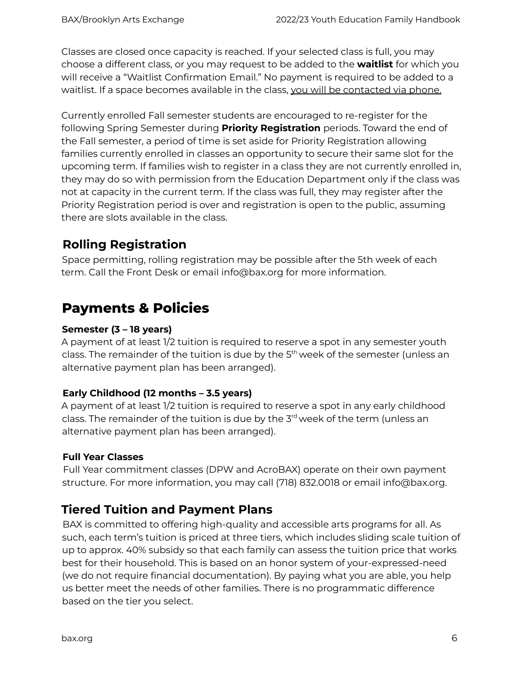Classes are closed once capacity is reached. If your selected class is full, you may choose a different class, or you may request to be added to the **waitlist** for which you will receive a "Waitlist Confirmation Email." No payment is required to be added to a waitlist. If a space becomes available in the class, you will be contacted via phone.

Currently enrolled Fall semester students are encouraged to re-register for the following Spring Semester during **Priority Registration** periods. Toward the end of the Fall semester, a period of time is set aside for Priority Registration allowing families currently enrolled in classes an opportunity to secure their same slot for the upcoming term. If families wish to register in a class they are not currently enrolled in, they may do so with permission from the Education Department only if the class was not at capacity in the current term. If the class was full, they may register after the Priority Registration period is over and registration is open to the public, assuming there are slots available in the class.

#### <span id="page-5-0"></span>**Rolling Registration**

Space permitting, rolling registration may be possible after the 5th week of each term. Call the Front Desk or email info@bax.org for more information.

## <span id="page-5-1"></span>**Payments & Policies**

#### <span id="page-5-2"></span>**Semester (3 – 18 years)**

A payment of at least 1/2 tuition is required to reserve a spot in any semester youth class. The remainder of the tuition is due by the 5<sup>th</sup> week of the semester (unless an alternative payment plan has been arranged).

#### <span id="page-5-3"></span>**Early Childhood (12 months – 3.5 years)**

A payment of at least 1/2 tuition is required to reserve a spot in any early childhood class. The remainder of the tuition is due by the 3<sup>rd</sup> week of the term (unless an alternative payment plan has been arranged).

#### <span id="page-5-4"></span>**Full Year Classes**

Full Year commitment classes (DPW and AcroBAX) operate on their own payment structure. For more information, you may call (718) 832.0018 or email info@bax.org.

#### <span id="page-5-5"></span>**Tiered Tuition and Payment Plans**

BAX is committed to offering high-quality and accessible arts programs for all. As such, each term's tuition is priced at three tiers, which includes sliding scale tuition of up to approx. 40% subsidy so that each family can assess the tuition price that works best for their household. This is based on an honor system of your-expressed-need (we do not require financial documentation). By paying what you are able, you help us better meet the needs of other families. There is no programmatic difference based on the tier you select.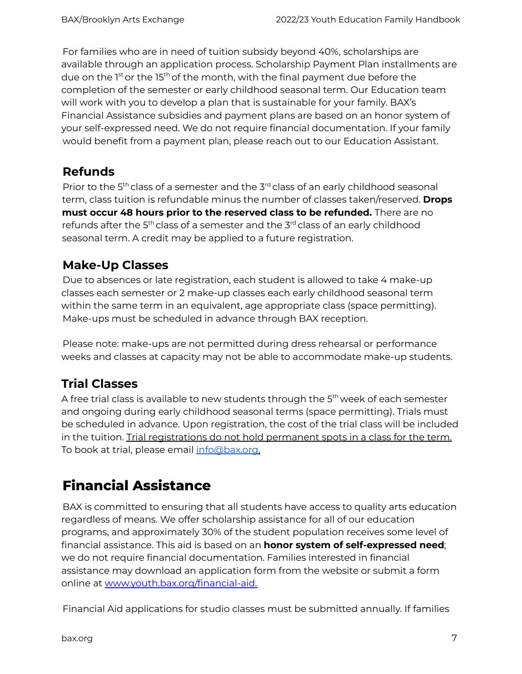For families who are in need of tuition subsidy beyond 40%, scholarships are available through an application process. Scholarship Payment Plan installments are due on the 1st or the 15<sup>th</sup> of the month, with the final payment due before the completion of the semester or early childhood seasonal term. Our Education team will work with you to develop a plan that is sustainable for your family. BAX's Financial Assistance subsidies and payment plans are based on an honor system of your self-expressed need. We do not require financial documentation. If your family would benefit from a payment plan, please reach out to our Education Assistant.

## <span id="page-6-0"></span>**Refunds**

Prior to the 5<sup>th</sup> class of a semester and the 3<sup>rd</sup> class of an early childhood seasonal term, class tuition is refundable minus the number of classes taken/reserved. **Drops must occur 48 hours prior to the reserved class to be refunded.** There are no refunds after the 5<sup>th</sup> class of a semester and the 3<sup>rd</sup> class of an early childhood seasonal term. A credit may be applied to a future registration.

## <span id="page-6-1"></span>**Make-Up Classes**

Due to absences or late registration, each student is allowed to take 4 make-up classes each semester or 2 make-up classes each early childhood seasonal term within the same term in an equivalent, age appropriate class (space permitting). Make-ups must be scheduled in advance through BAX reception.

Please note: make-ups are not permitted during dress rehearsal or performance weeks and classes at capacity may not be able to accommodate make-up students.

## <span id="page-6-2"></span>**Trial Classes**

A free trial class is available to new students through the 5<sup>th</sup> week of each semester and ongoing during early childhood seasonal terms (space permitting). Trials must be scheduled in advance. Upon registration, the cost of the trial class will be included in the tuition. Trial registrations do not hold permanent spots in a class for the term. To book at trial, please email info@bax.org.

# <span id="page-6-3"></span>**Financial Assistance**

BAX is committed to ensuring that all students have access to quality arts education regardless of means. We offer scholarship assistance for all of our education programs, and approximately 30% of the student population receives some level of financial assistance. This aid is based on an **honor system of self-expressed need**; we do not require financial documentation. Families interested in financial assistance may download an application form from the website or submit a form online at www.youth.bax.org/financial-aid.

Financial Aid applications for studio classes must be submitted annually. If families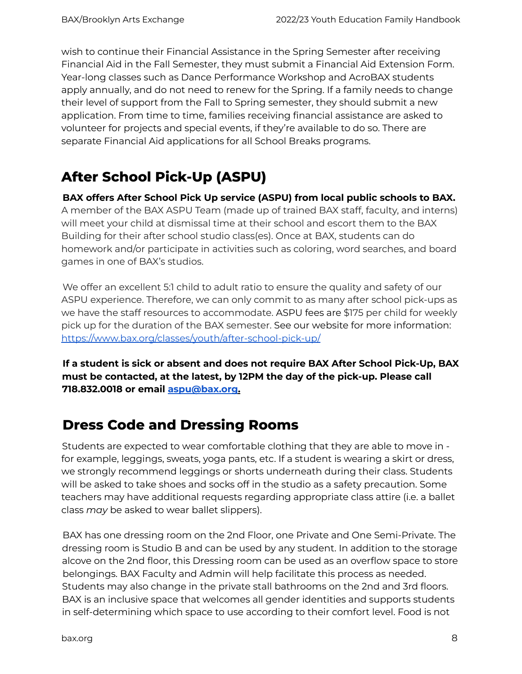wish to continue their Financial Assistance in the Spring Semester after receiving Financial Aid in the Fall Semester, they must submit a Financial Aid Extension Form. Year-long classes such as Dance Performance Workshop and AcroBAX students apply annually, and do not need to renew for the Spring. If a family needs to change their level of support from the Fall to Spring semester, they should submit a new application. From time to time, families receiving financial assistance are asked to volunteer for projects and special events, if they're available to do so. There are separate Financial Aid applications for all School Breaks programs.

# <span id="page-7-0"></span>**After School Pick-Up (ASPU)**

**BAX offers After School Pick Up service (ASPU) from local public schools to BAX.** A member of the BAX ASPU Team (made up of trained BAX staff, faculty, and interns) will meet your child at dismissal time at their school and escort them to the BAX Building for their after school studio class(es). Once at BAX, students can do homework and/or participate in activities such as coloring, word searches, and board games in one of BAX's studios.

We offer an excellent 5:1 child to adult ratio to ensure the quality and safety of our ASPU experience. Therefore, we can only commit to as many after school pick-ups as we have the staff resources to accommodate. ASPU fees are \$175 per child for weekly pick up for the duration of the BAX semester. See our website for more information: https://www.bax.org/classes/youth/after-school-pick-up/

**If a student is sick or absent and does not require BAX After School Pick-Up, BAX must be contacted, at the latest, by 12PM the day of the pick-up. Please call 718.832.0018 or email aspu@bax.org.**

## <span id="page-7-1"></span>**Dress Code and Dressing Rooms**

Students are expected to wear comfortable clothing that they are able to move in for example, leggings, sweats, yoga pants, etc. If a student is wearing a skirt or dress, we strongly recommend leggings or shorts underneath during their class. Students will be asked to take shoes and socks off in the studio as a safety precaution. Some teachers may have additional requests regarding appropriate class attire (i.e. a ballet class *may* be asked to wear ballet slippers).

BAX has one dressing room on the 2nd Floor, one Private and One Semi-Private. The dressing room is Studio B and can be used by any student. In addition to the storage alcove on the 2nd floor, this Dressing room can be used as an overflow space to store belongings. BAX Faculty and Admin will help facilitate this process as needed. Students may also change in the private stall bathrooms on the 2nd and 3rd floors. BAX is an inclusive space that welcomes all gender identities and supports students in self-determining which space to use according to their comfort level. Food is not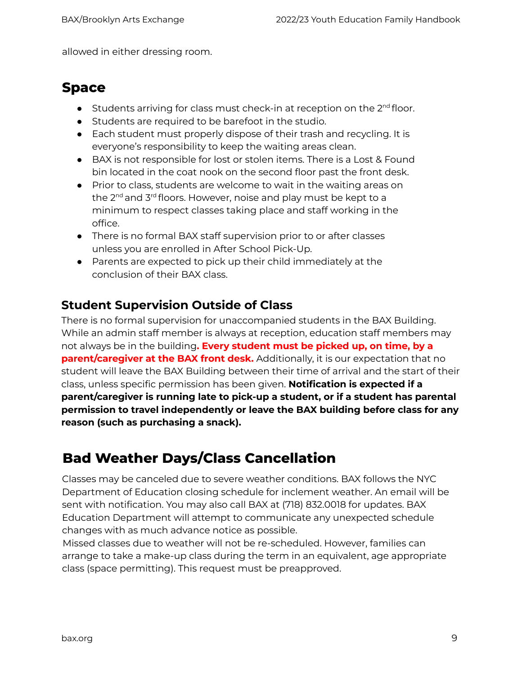<span id="page-8-0"></span>allowed in either dressing room.

## **Space**

- Students arriving for class must check-in at reception on the 2<sup>nd</sup> floor.
- Students are required to be barefoot in the studio.
- Each student must properly dispose of their trash and recycling. It is everyone's responsibility to keep the waiting areas clean.
- BAX is not responsible for lost or stolen items. There is a Lost & Found bin located in the coat nook on the second floor past the front desk.
- Prior to class, students are welcome to wait in the waiting areas on the 2<sup>nd</sup> and 3<sup>rd</sup> floors. However, noise and play must be kept to a minimum to respect classes taking place and staff working in the office.
- There is no formal BAX staff supervision prior to or after classes unless you are enrolled in After School Pick-Up.
- Parents are expected to pick up their child immediately at the conclusion of their BAX class.

#### <span id="page-8-1"></span>**Student Supervision Outside of Class**

There is no formal supervision for unaccompanied students in the BAX Building. While an admin staff member is always at reception, education staff members may not always be in the building**. Every student must be picked up, on time, by a parent/caregiver at the BAX front desk.** Additionally, it is our expectation that no student will leave the BAX Building between their time of arrival and the start of their class, unless specific permission has been given. **Notification is expected if a parent/caregiver is running late to pick-up a student, or if a student has parental permission to travel independently or leave the BAX building before class for any reason (such as purchasing a snack).**

# <span id="page-8-2"></span>**Bad Weather Days/Class Cancellation**

Classes may be canceled due to severe weather conditions. BAX follows the NYC Department of Education closing schedule for inclement weather. An email will be sent with notification. You may also call BAX at (718) 832.0018 for updates. BAX Education Department will attempt to communicate any unexpected schedule changes with as much advance notice as possible.

Missed classes due to weather will not be re-scheduled. However, families can arrange to take a make-up class during the term in an equivalent, age appropriate class (space permitting). This request must be preapproved.